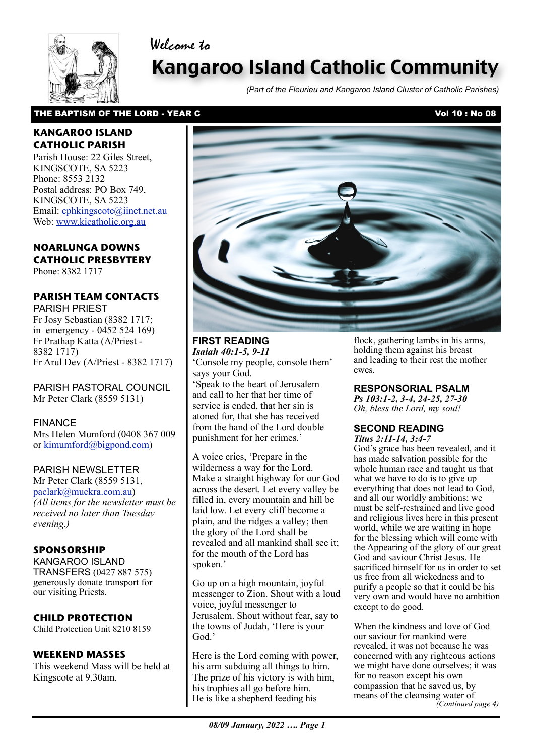# Welcome to



# Kangaroo Island Catholic Community

*(Part of the Fleurieu and Kangaroo Island Cluster of Catholic Parishes)*

### THE BAPTISM OF THE LORD - YEAR C VOL 10 : No 08

### **KANGAROO ISLAND CATHOLIC PARISH**

Parish House: 22 Giles Street, KINGSCOTE, SA 5223 Phone: 8553 2132 Postal address: PO Box 749, KINGSCOTE, SA 5223 Email[: cphkingscote@iinet.net.au](mailto:cphkingscote@iinet.net.au) Web: [www.kicatholic.org.au](http://www.kicatholic.org.au)

## **NOARLUNGA DOWNS CATHOLIC PRESBYTERY**

Phone: 8382 1717

## **PARISH TEAM CONTACTS**

PARISH PRIEST Fr Josy Sebastian (8382 1717; in emergency - 0452 524 169) Fr Prathap Katta (A/Priest - 8382 1717) Fr Arul Dev (A/Priest - 8382 1717)

PARISH PASTORAL COUNCIL Mr Peter Clark (8559 5131)

FINANCE Mrs Helen Mumford (0408 367 009 or [kimumford@bigpond.com\)](mailto:kimumford@bigpond.com)

#### PARISH NEWSLETTER

Mr Peter Clark (8559 5131, [paclark@muckra.com.au\)](mailto:paclark@muckra.com.au) *(All items for the newsletter must be received no later than Tuesday evening.)*

#### **SPONSORSHIP**

KANGAROO ISLAND TRANSFERS (0427 887 575) generously donate transport for our visiting Priests.

## **CHILD PROTECTION**

Child Protection Unit 8210 8159

## **WEEKEND MASSES**

This weekend Mass will be held at Kingscote at 9.30am.



## **FIRST READING** *Isaiah 40:1-5, 9-11*

'Console my people, console them' says your God.

'Speak to the heart of Jerusalem and call to her that her time of service is ended, that her sin is atoned for, that she has received from the hand of the Lord double punishment for her crimes.'

A voice cries, 'Prepare in the wilderness a way for the Lord. Make a straight highway for our God across the desert. Let every valley be filled in, every mountain and hill be laid low. Let every cliff become a plain, and the ridges a valley; then the glory of the Lord shall be revealed and all mankind shall see it; for the mouth of the Lord has spoken.'

Go up on a high mountain, joyful messenger to Zion. Shout with a loud voice, joyful messenger to Jerusalem. Shout without fear, say to the towns of Judah, 'Here is your God<sup>'</sup>

 He is like a shepherd feeding his Here is the Lord coming with power, his arm subduing all things to him. The prize of his victory is with him, his trophies all go before him.

flock, gathering lambs in his arms, holding them against his breast and leading to their rest the mother ewes.

## **RESPONSORIAL PSALM**

*Ps 103:1-2, 3-4, 24-25, 27-30 Oh, bless the Lord, my soul!*

#### **SECOND READING** *Titus 2:11-14, 3:4-7*

God's grace has been revealed, and it has made salvation possible for the whole human race and taught us that what we have to do is to give up everything that does not lead to God, and all our worldly ambitions; we must be self-restrained and live good and religious lives here in this present world, while we are waiting in hope for the blessing which will come with the Appearing of the glory of our great God and saviour Christ Jesus. He sacrificed himself for us in order to set us free from all wickedness and to purify a people so that it could be his very own and would have no ambition except to do good.

When the kindness and love of God our saviour for mankind were revealed, it was not because he was concerned with any righteous actions we might have done ourselves; it was for no reason except his own compassion that he saved us, by means of the cleansing water of *(Continued page 4)*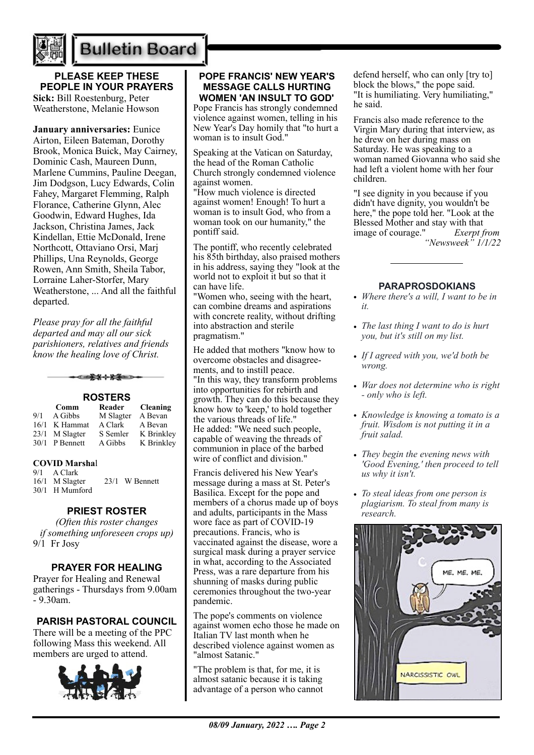

# **Bulletin Board**

**PLEASE KEEP THESE PEOPLE IN YOUR PRAYERS Sick:** Bill Roestenburg, Peter

Weatherstone, Melanie Howson

**January anniversaries:** Eunice Airton, Eileen Bateman, Dorothy Brook, Monica Buick, May Cairney, Dominic Cash, Maureen Dunn, Marlene Cummins, Pauline Deegan, Jim Dodgson, Lucy Edwards, Colin Fahey, Margaret Flemming, Ralph Florance, Catherine Glynn, Alec Goodwin, Edward Hughes, Ida Jackson, Christina James, Jack Kindellan, Ettie McDonald, Irene Northcott, Ottaviano Orsi, Marj Phillips, Una Reynolds, George Rowen, Ann Smith, Sheila Tabor, Lorraine Laher-Storfer, Mary Weatherstone, ... And all the faithful departed.

*Please pray for all the faithful departed and may all our sick parishioners, relatives and friends know the healing love of Christ.*

▅<del>▛</del>▓⊹<del>▓</del>▅⋺

#### **ROSTERS Comm Reader Cleaning**

|      | Comm             | Reader    | Cleaning   |
|------|------------------|-----------|------------|
| 9/1  | A Gibbs          | M Slagter | A Bevan    |
| 16/1 | K Hammat         | A Clark   | A Bevan    |
|      | 23/1 M Slagter   | S Semler  | K Brinkley |
|      | $30/1$ P Bennett | A Gibbs   | K Brinkley |

#### **COVID Marsha**l

9/1 A Clark

16/1 M Slagter 23/1 W Bennett 30/1 H Mumford

#### **PRIEST ROSTER**

*(Often this roster changes if something unforeseen crops up)* 9/1 Fr Josy

#### **PRAYER FOR HEALING**

Prayer for Healing and Renewal gatherings - Thursdays from 9.00am - 9.30am.

## **PARISH PASTORAL COUNCIL**

There will be a meeting of the PPC following Mass this weekend. All members are urged to attend.



#### **POPE FRANCIS' NEW YEAR'S MESSAGE CALLS HURTING WOMEN 'AN INSULT TO GOD'**

Pope Francis has strongly condemned violence against women, telling in his New Year's Day homily that "to hurt a woman is to insult God."

Speaking at the Vatican on Saturday, the head of the Roman Catholic Church strongly condemned violence against women.

"How much violence is directed against women! Enough! To hurt a woman is to insult God, who from a woman took on our humanity," the pontiff said.

The pontiff, who recently celebrated his 85th birthday, also praised mothers in his address, saying they "look at the world not to exploit it but so that it can have life.

"Women who, seeing with the heart, can combine dreams and aspirations with concrete reality, without drifting into abstraction and sterile pragmatism."

He added that mothers "know how to overcome obstacles and disagreements, and to instill peace. "In this way, they transform problems into opportunities for rebirth and growth. They can do this because they know how to 'keep,' to hold together the various threads of life." He added: "We need such people, capable of weaving the threads of communion in place of the barbed wire of conflict and division."

Francis delivered his New Year's message during a mass at St. Peter's Basilica. Except for the pope and members of a chorus made up of boys and adults, participants in the Mass wore face as part of COVID-19 precautions. Francis, who is vaccinated against the disease, wore a surgical mask during a prayer service in what, according to the Associated Press, was a rare departure from his shunning of masks during public ceremonies throughout the two-year pandemic.

The pope's comments on violence against women echo those he made on Italian TV last month when he described violence against women as "almost Satanic."

"The problem is that, for me, it is almost satanic because it is taking advantage of a person who cannot

defend herself, who can only [try to] block the blows," the pope said. "It is humiliating. Very humiliating," he said.

Francis also made reference to the Virgin Mary during that interview, as he drew on her during mass on Saturday. He was speaking to a woman named Giovanna who said she had left a violent home with her four children.

"I see dignity in you because if you didn't have dignity, you wouldn't be here," the pope told her. "Look at the Blessed Mother and stay with that image of courage." *Exerpt from "Newsweek" 1/1/22*

#### **PARAPROSDOKIANS**

- *• Where there's a will, I want to be in it.*
- *• The last thing I want to do is hurt you, but it's still on my list.*
- *• If I agreed with you, we'd both be wrong.*
- *• War does not determine who is right - only who is left.*
- *• Knowledge is knowing a tomato is a fruit. Wisdom is not putting it in a fruit salad.*
- *• They begin the evening news with 'Good Evening,' then proceed to tell us why it isn't.*
- *• To steal ideas from one person is plagiarism. To steal from many is research.*

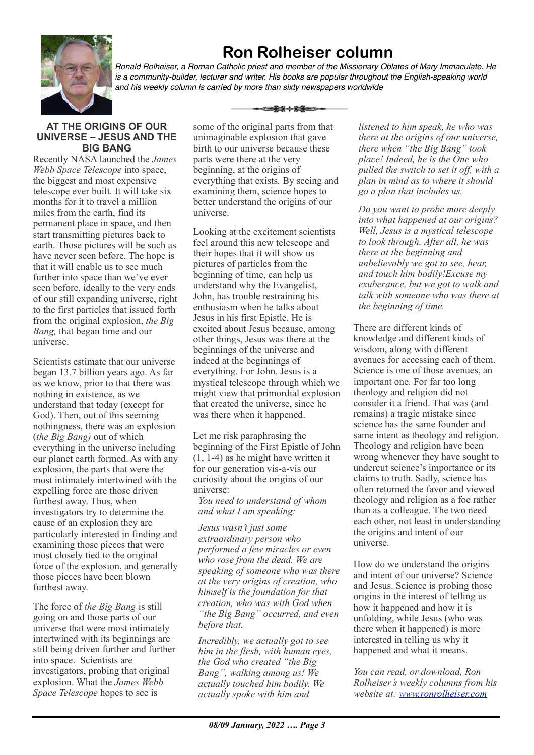

# **Ron Rolheiser column**

*Ronald Rolheiser, a Roman Catholic priest and member of the Missionary Oblates of Mary Immaculate. He*  is a community-builder, lecturer and writer. His books are popular throughout the English-speaking world *and his weekly column is carried by more than sixty newspapers worldwide*

ఆ<del>≵⊀⊹≿≨≅</del>

#### **AT THE ORIGINS OF OUR UNIVERSE – JESUS AND THE BIG BANG**

Recently NASA launched the *James Webb Space Telescope* into space, the biggest and most expensive telescope ever built. It will take six months for it to travel a million miles from the earth, find its permanent place in space, and then start transmitting pictures back to earth. Those pictures will be such as have never seen before. The hope is that it will enable us to see much further into space than we've ever seen before, ideally to the very ends of our still expanding universe, right to the first particles that issued forth from the original explosion, *the Big Bang,* that began time and our universe.

Scientists estimate that our universe began 13.7 billion years ago. As far as we know, prior to that there was nothing in existence, as we understand that today (except for God). Then, out of this seeming nothingness, there was an explosion (*the Big Bang)* out of which everything in the universe including our planet earth formed. As with any explosion, the parts that were the most intimately intertwined with the expelling force are those driven furthest away. Thus, when investigators try to determine the cause of an explosion they are particularly interested in finding and examining those pieces that were most closely tied to the original force of the explosion, and generally those pieces have been blown furthest away.

The force of *the Big Bang* is still going on and those parts of our universe that were most intimately intertwined with its beginnings are still being driven further and further into space. Scientists are investigators, probing that original explosion. What the *James Webb Space Telescope* hopes to see is

some of the original parts from that unimaginable explosion that gave birth to our universe because these parts were there at the very beginning, at the origins of everything that exists*.* By seeing and examining them, science hopes to better understand the origins of our universe.

Looking at the excitement scientists feel around this new telescope and their hopes that it will show us pictures of particles from the beginning of time, can help us understand why the Evangelist, John, has trouble restraining his enthusiasm when he talks about Jesus in his first Epistle. He is excited about Jesus because, among other things, Jesus was there at the beginnings of the universe and indeed at the beginnings of everything. For John, Jesus is a mystical telescope through which we might view that primordial explosion that created the universe, since he was there when it happened.

Let me risk paraphrasing the beginning of the First Epistle of John (1, 1-4) as he might have written it for our generation vis-a-vis our curiosity about the origins of our universe:

*You need to understand of whom and what I am speaking:*

*Jesus wasn't just some extraordinary person who performed a few miracles or even who rose from the dead. We are speaking of someone who was there at the very origins of creation, who himself is the foundation for that creation, who was with God when "the Big Bang" occurred, and even before that.*

*Incredibly, we actually got to see him in the flesh, with human eyes, the God who created "the Big Bang", walking among us! We actually touched him bodily. We actually spoke with him and* 

*listened to him speak, he who was there at the origins of our universe, there when "the Big Bang" took place! Indeed, he is the One who pulled the switch to set it off, with a plan in mind as to where it should go a plan that includes us.*

*Do you want to probe more deeply into what happened at our origins? Well, Jesus is a mystical telescope to look through. After all, he was there at the beginning and unbelievably we got to see, hear, and touch him bodily!Excuse my exuberance, but we got to walk and talk with someone who was there at the beginning of time.*

There are different kinds of knowledge and different kinds of wisdom, along with different avenues for accessing each of them. Science is one of those avenues, an important one. For far too long theology and religion did not consider it a friend. That was (and remains) a tragic mistake since science has the same founder and same intent as theology and religion. Theology and religion have been wrong whenever they have sought to undercut science's importance or its claims to truth. Sadly, science has often returned the favor and viewed theology and religion as a foe rather than as a colleague. The two need each other, not least in understanding the origins and intent of our universe.

How do we understand the origins and intent of our universe? Science and Jesus. Science is probing those origins in the interest of telling us how it happened and how it is unfolding, while Jesus (who was there when it happened) is more interested in telling us why it happened and what it means.

*You can read, or download, Ron Rolheiser's weekly columns from his website at: [www.ronrolheiser.com](http://www.ronrolheiser.com)*